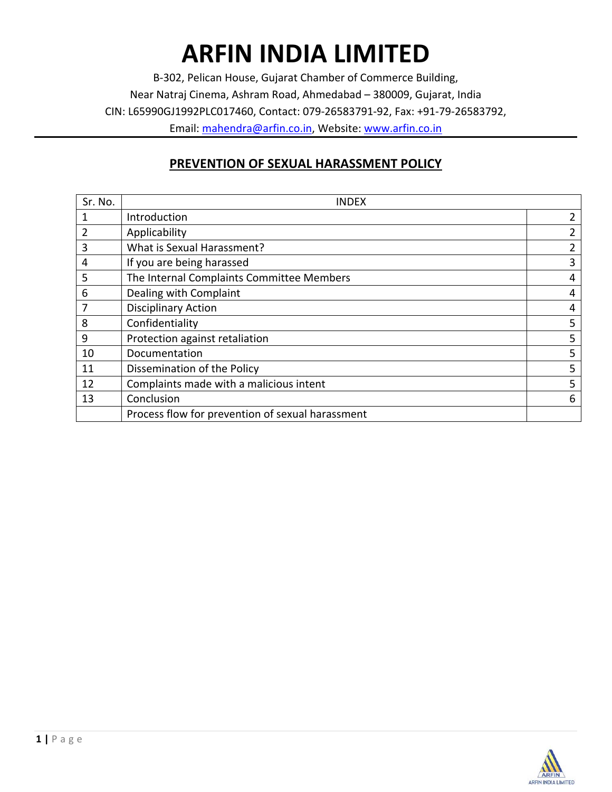# **ARFIN INDIA LIMITED**

B‐302, Pelican House, Gujarat Chamber of Commerce Building, Near Natraj Cinema, Ashram Road, Ahmedabad – 380009, Gujarat, India CIN: L65990GJ1992PLC017460, Contact: 079‐26583791‐92, Fax: +91‐79‐26583792, Email: mahendra@arfin.co.in, Website: www.arfin.co.in

## **PREVENTION OF SEXUAL HARASSMENT POLICY**

| Sr. No. | <b>INDEX</b>                                     |   |
|---------|--------------------------------------------------|---|
| 1       | Introduction                                     |   |
|         | Applicability                                    | 2 |
| 3       | What is Sexual Harassment?                       | 2 |
| 4       | If you are being harassed                        | 3 |
| 5       | The Internal Complaints Committee Members        | 4 |
| 6       | Dealing with Complaint                           | 4 |
|         | <b>Disciplinary Action</b>                       | 4 |
| 8       | Confidentiality                                  | 5 |
| 9       | Protection against retaliation                   | 5 |
| 10      | Documentation                                    | 5 |
| 11      | Dissemination of the Policy                      | 5 |
| 12      | Complaints made with a malicious intent          | 5 |
| 13      | Conclusion                                       | 6 |
|         | Process flow for prevention of sexual harassment |   |

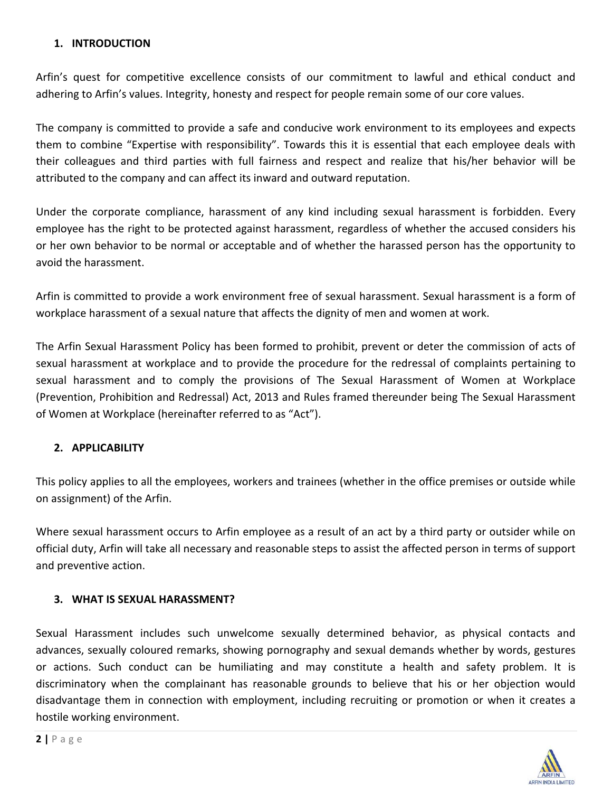## **1. INTRODUCTION**

Arfin's quest for competitive excellence consists of our commitment to lawful and ethical conduct and adhering to Arfin's values. Integrity, honesty and respect for people remain some of our core values.

The company is committed to provide a safe and conducive work environment to its employees and expects them to combine "Expertise with responsibility". Towards this it is essential that each employee deals with their colleagues and third parties with full fairness and respect and realize that his/her behavior will be attributed to the company and can affect its inward and outward reputation.

Under the corporate compliance, harassment of any kind including sexual harassment is forbidden. Every employee has the right to be protected against harassment, regardless of whether the accused considers his or her own behavior to be normal or acceptable and of whether the harassed person has the opportunity to avoid the harassment.

Arfin is committed to provide a work environment free of sexual harassment. Sexual harassment is a form of workplace harassment of a sexual nature that affects the dignity of men and women at work.

The Arfin Sexual Harassment Policy has been formed to prohibit, prevent or deter the commission of acts of sexual harassment at workplace and to provide the procedure for the redressal of complaints pertaining to sexual harassment and to comply the provisions of The Sexual Harassment of Women at Workplace (Prevention, Prohibition and Redressal) Act, 2013 and Rules framed thereunder being The Sexual Harassment of Women at Workplace (hereinafter referred to as "Act").

## **2. APPLICABILITY**

This policy applies to all the employees, workers and trainees (whether in the office premises or outside while on assignment) of the Arfin.

Where sexual harassment occurs to Arfin employee as a result of an act by a third party or outsider while on official duty, Arfin will take all necessary and reasonable steps to assist the affected person in terms of support and preventive action.

## **3. WHAT IS SEXUAL HARASSMENT?**

Sexual Harassment includes such unwelcome sexually determined behavior, as physical contacts and advances, sexually coloured remarks, showing pornography and sexual demands whether by words, gestures or actions. Such conduct can be humiliating and may constitute a health and safety problem. It is discriminatory when the complainant has reasonable grounds to believe that his or her objection would disadvantage them in connection with employment, including recruiting or promotion or when it creates a hostile working environment.

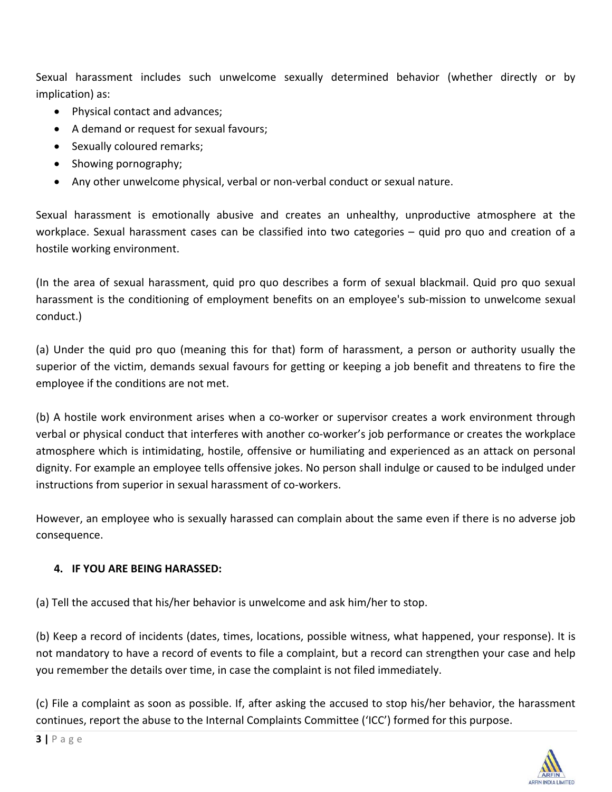Sexual harassment includes such unwelcome sexually determined behavior (whether directly or by implication) as:

- Physical contact and advances;
- A demand or request for sexual favours;
- Sexually coloured remarks;
- Showing pornography;
- Any other unwelcome physical, verbal or non-verbal conduct or sexual nature.

Sexual harassment is emotionally abusive and creates an unhealthy, unproductive atmosphere at the workplace. Sexual harassment cases can be classified into two categories – quid pro quo and creation of a hostile working environment.

(In the area of sexual harassment, quid pro quo describes a form of sexual blackmail. Quid pro quo sexual harassment is the conditioning of employment benefits on an employee's sub-mission to unwelcome sexual conduct.)

(a) Under the quid pro quo (meaning this for that) form of harassment, a person or authority usually the superior of the victim, demands sexual favours for getting or keeping a job benefit and threatens to fire the employee if the conditions are not met.

(b) A hostile work environment arises when a co-worker or supervisor creates a work environment through verbal or physical conduct that interferes with another co-worker's job performance or creates the workplace atmosphere which is intimidating, hostile, offensive or humiliating and experienced as an attack on personal dignity. For example an employee tells offensive jokes. No person shall indulge or caused to be indulged under instructions from superior in sexual harassment of co-workers.

However, an employee who is sexually harassed can complain about the same even if there is no adverse job consequence.

## **4. IF YOU ARE BEING HARASSED:**

(a) Tell the accused that his/her behavior is unwelcome and ask him/her to stop.

(b) Keep a record of incidents (dates, times, locations, possible witness, what happened, your response). It is not mandatory to have a record of events to file a complaint, but a record can strengthen your case and help you remember the details over time, in case the complaint is not filed immediately.

(c) File a complaint as soon as possible. If, after asking the accused to stop his/her behavior, the harassment continues, report the abuse to the Internal Complaints Committee ('ICC') formed for this purpose.

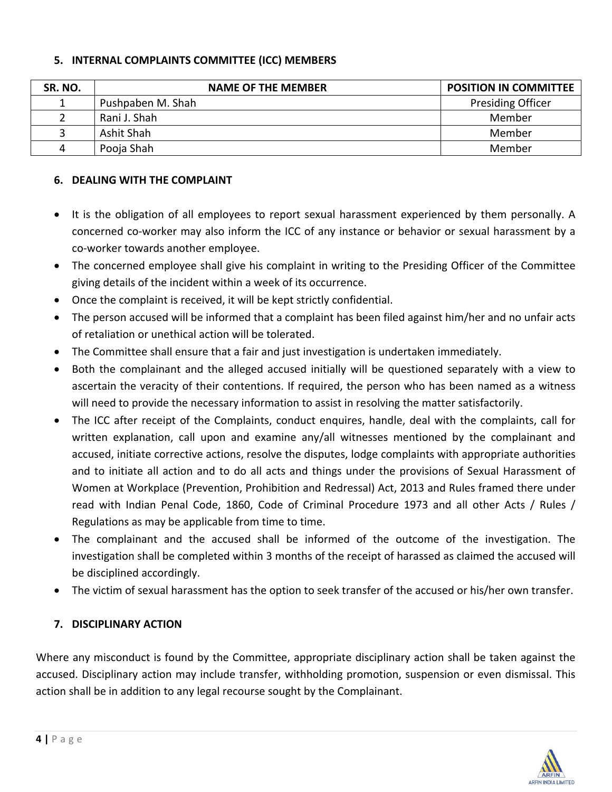## **5. INTERNAL COMPLAINTS COMMITTEE (ICC) MEMBERS**

| SR. NO. | <b>POSITION IN COMMITTEE</b><br><b>NAME OF THE MEMBER</b> |                          |
|---------|-----------------------------------------------------------|--------------------------|
|         | Pushpaben M. Shah                                         | <b>Presiding Officer</b> |
|         | Rani J. Shah                                              | Member                   |
|         | Ashit Shah                                                | Member                   |
| 4       | Pooja Shah                                                | Member                   |

## **6. DEALING WITH THE COMPLAINT**

- It is the obligation of all employees to report sexual harassment experienced by them personally. A concerned co‐worker may also inform the ICC of any instance or behavior or sexual harassment by a co‐worker towards another employee.
- The concerned employee shall give his complaint in writing to the Presiding Officer of the Committee giving details of the incident within a week of its occurrence.
- Once the complaint is received, it will be kept strictly confidential.
- The person accused will be informed that a complaint has been filed against him/her and no unfair acts of retaliation or unethical action will be tolerated.
- The Committee shall ensure that a fair and just investigation is undertaken immediately.
- Both the complainant and the alleged accused initially will be questioned separately with a view to ascertain the veracity of their contentions. If required, the person who has been named as a witness will need to provide the necessary information to assist in resolving the matter satisfactorily.
- The ICC after receipt of the Complaints, conduct enquires, handle, deal with the complaints, call for written explanation, call upon and examine any/all witnesses mentioned by the complainant and accused, initiate corrective actions, resolve the disputes, lodge complaints with appropriate authorities and to initiate all action and to do all acts and things under the provisions of Sexual Harassment of Women at Workplace (Prevention, Prohibition and Redressal) Act, 2013 and Rules framed there under read with Indian Penal Code, 1860, Code of Criminal Procedure 1973 and all other Acts / Rules / Regulations as may be applicable from time to time.
- The complainant and the accused shall be informed of the outcome of the investigation. The investigation shall be completed within 3 months of the receipt of harassed as claimed the accused will be disciplined accordingly.
- The victim of sexual harassment has the option to seek transfer of the accused or his/her own transfer.

## **7. DISCIPLINARY ACTION**

Where any misconduct is found by the Committee, appropriate disciplinary action shall be taken against the accused. Disciplinary action may include transfer, withholding promotion, suspension or even dismissal. This action shall be in addition to any legal recourse sought by the Complainant.

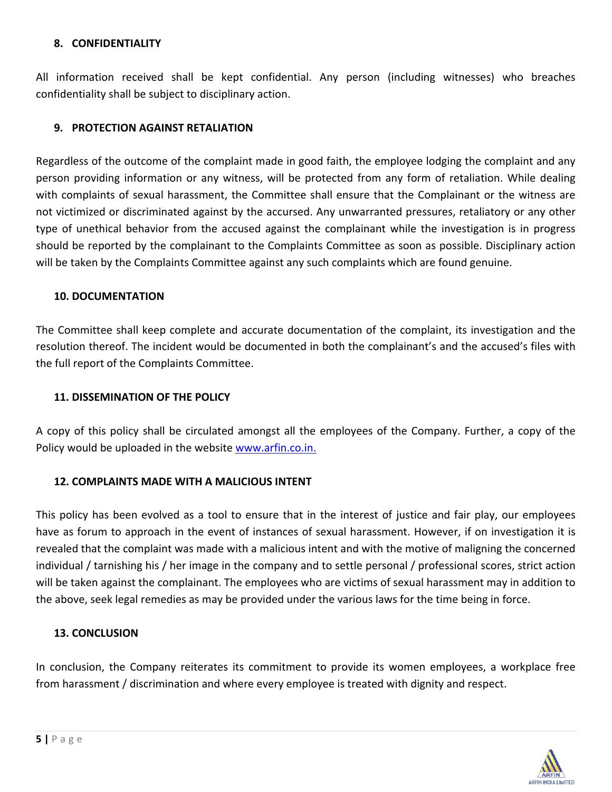#### **8. CONFIDENTIALITY**

All information received shall be kept confidential. Any person (including witnesses) who breaches confidentiality shall be subject to disciplinary action.

#### **9. PROTECTION AGAINST RETALIATION**

Regardless of the outcome of the complaint made in good faith, the employee lodging the complaint and any person providing information or any witness, will be protected from any form of retaliation. While dealing with complaints of sexual harassment, the Committee shall ensure that the Complainant or the witness are not victimized or discriminated against by the accursed. Any unwarranted pressures, retaliatory or any other type of unethical behavior from the accused against the complainant while the investigation is in progress should be reported by the complainant to the Complaints Committee as soon as possible. Disciplinary action will be taken by the Complaints Committee against any such complaints which are found genuine.

#### **10. DOCUMENTATION**

The Committee shall keep complete and accurate documentation of the complaint, its investigation and the resolution thereof. The incident would be documented in both the complainant's and the accused's files with the full report of the Complaints Committee.

#### **11. DISSEMINATION OF THE POLICY**

A copy of this policy shall be circulated amongst all the employees of the Company. Further, a copy of the Policy would be uploaded in the website www.arfin.co.in.

#### **12. COMPLAINTS MADE WITH A MALICIOUS INTENT**

This policy has been evolved as a tool to ensure that in the interest of justice and fair play, our employees have as forum to approach in the event of instances of sexual harassment. However, if on investigation it is revealed that the complaint was made with a malicious intent and with the motive of maligning the concerned individual / tarnishing his / her image in the company and to settle personal / professional scores, strict action will be taken against the complainant. The employees who are victims of sexual harassment may in addition to the above, seek legal remedies as may be provided under the various laws for the time being in force.

#### **13. CONCLUSION**

In conclusion, the Company reiterates its commitment to provide its women employees, a workplace free from harassment / discrimination and where every employee is treated with dignity and respect.